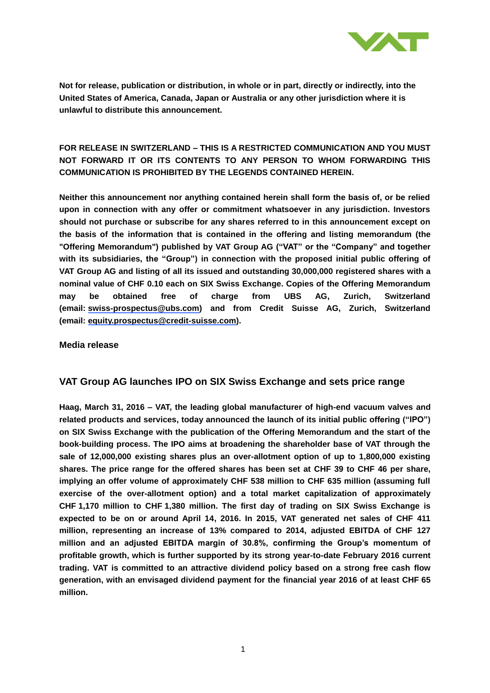

# **FOR RELEASE IN SWITZERLAND – THIS IS A RESTRICTED COMMUNICATION AND YOU MUST NOT FORWARD IT OR ITS CONTENTS TO ANY PERSON TO WHOM FORWARDING THIS COMMUNICATION IS PROHIBITED BY THE LEGENDS CONTAINED HEREIN.**

**Neither this announcement nor anything contained herein shall form the basis of, or be relied upon in connection with any offer or commitment whatsoever in any jurisdiction. Investors should not purchase or subscribe for any shares referred to in this announcement except on the basis of the information that is contained in the offering and listing memorandum (the "Offering Memorandum") published by VAT Group AG ("VAT" or the "Company" and together with its subsidiaries, the "Group") in connection with the proposed initial public offering of VAT Group AG and listing of all its issued and outstanding 30,000,000 registered shares with a nominal value of CHF 0.10 each on SIX Swiss Exchange. Copies of the Offering Memorandum may be obtained free of charge from UBS AG, Zurich, Switzerland (email: [swiss-prospectus@ubs.com\)](mailto:swiss-prospectus@ubs.com) and from Credit Suisse AG, Zurich, Switzerland (email: [equity.prospectus@credit-suisse.com\)](mailto:equity.prospectus@credit-suisse.com).**

### **Media release**

## **VAT Group AG launches IPO on SIX Swiss Exchange and sets price range**

**Haag, March 31, 2016 – VAT, the leading global manufacturer of high-end vacuum valves and related products and services, today announced the launch of its initial public offering ("IPO") on SIX Swiss Exchange with the publication of the Offering Memorandum and the start of the book-building process. The IPO aims at broadening the shareholder base of VAT through the sale of 12,000,000 existing shares plus an over-allotment option of up to 1,800,000 existing shares. The price range for the offered shares has been set at CHF 39 to CHF 46 per share, implying an offer volume of approximately CHF 538 million to CHF 635 million (assuming full exercise of the over-allotment option) and a total market capitalization of approximately CHF 1,170 million to CHF 1,380 million. The first day of trading on SIX Swiss Exchange is expected to be on or around April 14, 2016. In 2015, VAT generated net sales of CHF 411 million, representing an increase of 13% compared to 2014, adjusted EBITDA of CHF 127 million and an adjusted EBITDA margin of 30.8%, confirming the Group's momentum of profitable growth, which is further supported by its strong year-to-date February 2016 current trading. VAT is committed to an attractive dividend policy based on a strong free cash flow generation, with an envisaged dividend payment for the financial year 2016 of at least CHF 65 million.**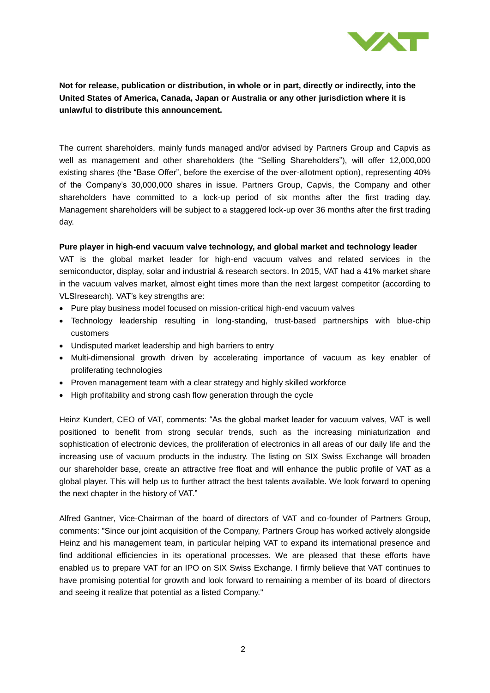

The current shareholders, mainly funds managed and/or advised by Partners Group and Capvis as well as management and other shareholders (the "Selling Shareholders"), will offer 12,000,000 existing shares (the "Base Offer", before the exercise of the over-allotment option), representing 40% of the Company's 30,000,000 shares in issue. Partners Group, Capvis, the Company and other shareholders have committed to a lock-up period of six months after the first trading day. Management shareholders will be subject to a staggered lock-up over 36 months after the first trading day.

### **Pure player in high-end vacuum valve technology, and global market and technology leader**

VAT is the global market leader for high-end vacuum valves and related services in the semiconductor, display, solar and industrial & research sectors. In 2015, VAT had a 41% market share in the vacuum valves market, almost eight times more than the next largest competitor (according to VLSIresearch). VAT's key strengths are:

- Pure play business model focused on mission-critical high-end vacuum valves
- Technology leadership resulting in long-standing, trust-based partnerships with blue-chip customers
- Undisputed market leadership and high barriers to entry
- Multi-dimensional growth driven by accelerating importance of vacuum as key enabler of proliferating technologies
- Proven management team with a clear strategy and highly skilled workforce
- High profitability and strong cash flow generation through the cycle

Heinz Kundert, CEO of VAT, comments: "As the global market leader for vacuum valves, VAT is well positioned to benefit from strong secular trends, such as the increasing miniaturization and sophistication of electronic devices, the proliferation of electronics in all areas of our daily life and the increasing use of vacuum products in the industry. The listing on SIX Swiss Exchange will broaden our shareholder base, create an attractive free float and will enhance the public profile of VAT as a global player. This will help us to further attract the best talents available. We look forward to opening the next chapter in the history of VAT."

Alfred Gantner, Vice-Chairman of the board of directors of VAT and co-founder of Partners Group, comments: "Since our joint acquisition of the Company, Partners Group has worked actively alongside Heinz and his management team, in particular helping VAT to expand its international presence and find additional efficiencies in its operational processes. We are pleased that these efforts have enabled us to prepare VAT for an IPO on SIX Swiss Exchange. I firmly believe that VAT continues to have promising potential for growth and look forward to remaining a member of its board of directors and seeing it realize that potential as a listed Company."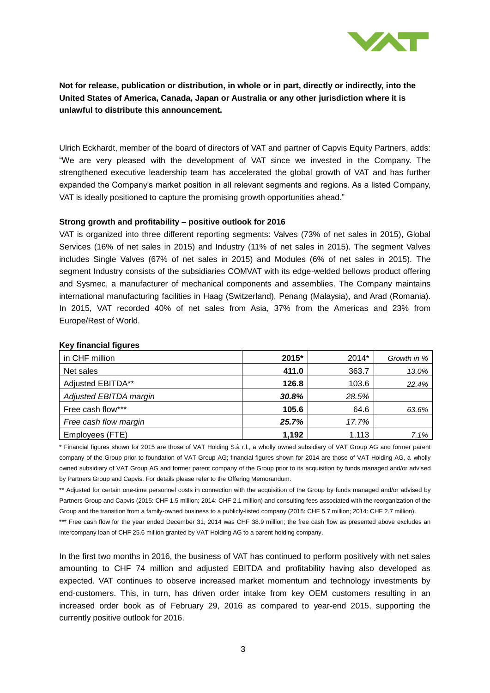

Ulrich Eckhardt, member of the board of directors of VAT and partner of Capvis Equity Partners, adds: "We are very pleased with the development of VAT since we invested in the Company. The strengthened executive leadership team has accelerated the global growth of VAT and has further expanded the Company's market position in all relevant segments and regions. As a listed Company, VAT is ideally positioned to capture the promising growth opportunities ahead."

### **Strong growth and profitability – positive outlook for 2016**

VAT is organized into three different reporting segments: Valves (73% of net sales in 2015), Global Services (16% of net sales in 2015) and Industry (11% of net sales in 2015). The segment Valves includes Single Valves (67% of net sales in 2015) and Modules (6% of net sales in 2015). The segment Industry consists of the subsidiaries COMVAT with its edge-welded bellows product offering and Sysmec, a manufacturer of mechanical components and assemblies. The Company maintains international manufacturing facilities in Haag (Switzerland), Penang (Malaysia), and Arad (Romania). In 2015, VAT recorded 40% of net sales from Asia, 37% from the Americas and 23% from Europe/Rest of World.

| in CHF million         | 2015* | 2014* | Growth in % |
|------------------------|-------|-------|-------------|
| Net sales              | 411.0 | 363.7 | 13.0%       |
| Adjusted EBITDA**      | 126.8 | 103.6 | 22.4%       |
| Adjusted EBITDA margin | 30.8% | 28.5% |             |
| Free cash flow***      | 105.6 | 64.6  | 63.6%       |
| Free cash flow margin  | 25.7% | 17.7% |             |
| Employees (FTE)        | 1,192 | 1,113 | 7.1%        |

#### **Key financial figures**

\* Financial figures shown for 2015 are those of VAT Holding S.à r.l., a wholly owned subsidiary of VAT Group AG and former parent company of the Group prior to foundation of VAT Group AG; financial figures shown for 2014 are those of VAT Holding AG, a wholly owned subsidiary of VAT Group AG and former parent company of the Group prior to its acquisition by funds managed and/or advised by Partners Group and Capvis. For details please refer to the Offering Memorandum.

\*\* Adjusted for certain one-time personnel costs in connection with the acquisition of the Group by funds managed and/or advised by Partners Group and Capvis (2015: CHF 1.5 million; 2014: CHF 2.1 million) and consulting fees associated with the reorganization of the Group and the transition from a family-owned business to a publicly-listed company (2015: CHF 5.7 million; 2014: CHF 2.7 million).

\*\*\* Free cash flow for the year ended December 31, 2014 was CHF 38.9 million; the free cash flow as presented above excludes an intercompany loan of CHF 25.6 million granted by VAT Holding AG to a parent holding company.

In the first two months in 2016, the business of VAT has continued to perform positively with net sales amounting to CHF 74 million and adjusted EBITDA and profitability having also developed as expected. VAT continues to observe increased market momentum and technology investments by end-customers. This, in turn, has driven order intake from key OEM customers resulting in an increased order book as of February 29, 2016 as compared to year-end 2015, supporting the currently positive outlook for 2016.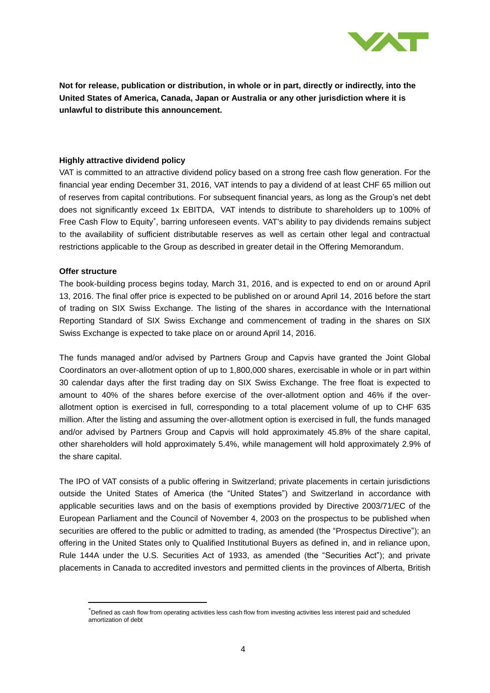

### **Highly attractive dividend policy**

VAT is committed to an attractive dividend policy based on a strong free cash flow generation. For the financial year ending December 31, 2016, VAT intends to pay a dividend of at least CHF 65 million out of reserves from capital contributions. For subsequent financial years, as long as the Group's net debt does not significantly exceed 1x EBITDA, VAT intends to distribute to shareholders up to 100% of Free Cash Flow to Equity<sup>\*</sup>, barring unforeseen events. VAT's ability to pay dividends remains subject to the availability of sufficient distributable reserves as well as certain other legal and contractual restrictions applicable to the Group as described in greater detail in the Offering Memorandum.

### **Offer structure**

 $\overline{a}$ 

The book-building process begins today, March 31, 2016, and is expected to end on or around April 13, 2016. The final offer price is expected to be published on or around April 14, 2016 before the start of trading on SIX Swiss Exchange. The listing of the shares in accordance with the International Reporting Standard of SIX Swiss Exchange and commencement of trading in the shares on SIX Swiss Exchange is expected to take place on or around April 14, 2016.

The funds managed and/or advised by Partners Group and Capvis have granted the Joint Global Coordinators an over-allotment option of up to 1,800,000 shares, exercisable in whole or in part within 30 calendar days after the first trading day on SIX Swiss Exchange. The free float is expected to amount to 40% of the shares before exercise of the over-allotment option and 46% if the overallotment option is exercised in full, corresponding to a total placement volume of up to CHF 635 million. After the listing and assuming the over-allotment option is exercised in full, the funds managed and/or advised by Partners Group and Capvis will hold approximately 45.8% of the share capital, other shareholders will hold approximately 5.4%, while management will hold approximately 2.9% of the share capital.

The IPO of VAT consists of a public offering in Switzerland; private placements in certain jurisdictions outside the United States of America (the "United States") and Switzerland in accordance with applicable securities laws and on the basis of exemptions provided by Directive 2003/71/EC of the European Parliament and the Council of November 4, 2003 on the prospectus to be published when securities are offered to the public or admitted to trading, as amended (the "Prospectus Directive"); an offering in the United States only to Qualified Institutional Buyers as defined in, and in reliance upon, Rule 144A under the U.S. Securities Act of 1933, as amended (the "Securities Act"); and private placements in Canada to accredited investors and permitted clients in the provinces of Alberta, British

Defined as cash flow from operating activities less cash flow from investing activities less interest paid and scheduled amortization of debt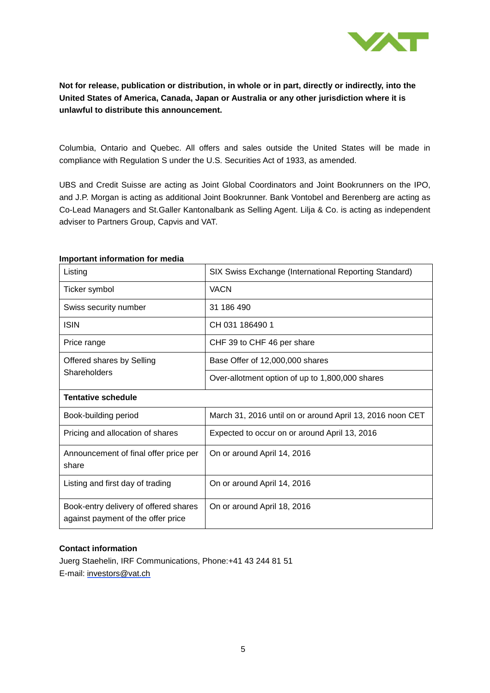

Columbia, Ontario and Quebec. All offers and sales outside the United States will be made in compliance with Regulation S under the U.S. Securities Act of 1933, as amended.

UBS and Credit Suisse are acting as Joint Global Coordinators and Joint Bookrunners on the IPO, and J.P. Morgan is acting as additional Joint Bookrunner. Bank Vontobel and Berenberg are acting as Co-Lead Managers and St.Galler Kantonalbank as Selling Agent. Lilja & Co. is acting as independent adviser to Partners Group, Capvis and VAT.

| Listing                                                                     | SIX Swiss Exchange (International Reporting Standard)     |  |
|-----------------------------------------------------------------------------|-----------------------------------------------------------|--|
| Ticker symbol                                                               | <b>VACN</b>                                               |  |
| Swiss security number                                                       | 31 186 490                                                |  |
| <b>ISIN</b>                                                                 | CH 031 186490 1                                           |  |
| Price range                                                                 | CHF 39 to CHF 46 per share                                |  |
| Offered shares by Selling<br>Shareholders                                   | Base Offer of 12,000,000 shares                           |  |
|                                                                             | Over-allotment option of up to 1,800,000 shares           |  |
| <b>Tentative schedule</b>                                                   |                                                           |  |
| Book-building period                                                        | March 31, 2016 until on or around April 13, 2016 noon CET |  |
| Pricing and allocation of shares                                            | Expected to occur on or around April 13, 2016             |  |
| Announcement of final offer price per<br>share                              | On or around April 14, 2016                               |  |
| Listing and first day of trading                                            | On or around April 14, 2016                               |  |
| Book-entry delivery of offered shares<br>against payment of the offer price | On or around April 18, 2016                               |  |

### **Important information for media**

### **Contact information**

Juerg Staehelin, IRF Communications, Phone:+41 43 244 81 51 E-mail: [investors@vat.ch](mailto:investors@vat.ch)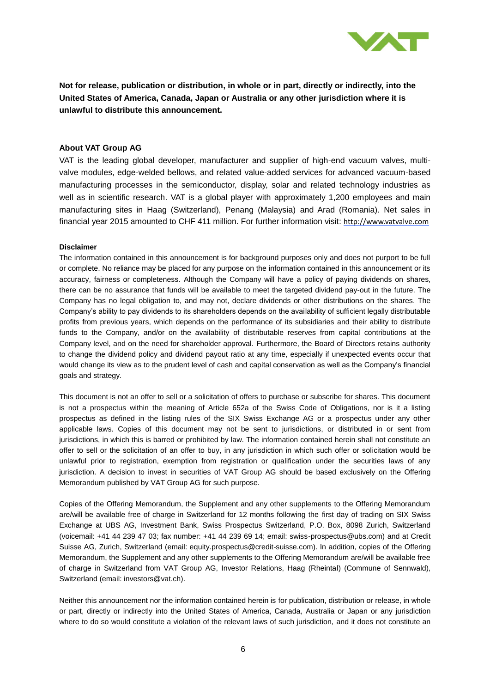

#### **About VAT Group AG**

VAT is the leading global developer, manufacturer and supplier of high-end vacuum valves, multivalve modules, edge-welded bellows, and related value-added services for advanced vacuum-based manufacturing processes in the semiconductor, display, solar and related technology industries as well as in scientific research. VAT is a global player with approximately 1,200 employees and main manufacturing sites in Haag (Switzerland), Penang (Malaysia) and Arad (Romania). Net sales in financial year 2015 amounted to CHF 411 million. For further information visit: [http://www.vatvalve.com](http://www.vatvalve.com/)

#### **Disclaimer**

The information contained in this announcement is for background purposes only and does not purport to be full or complete. No reliance may be placed for any purpose on the information contained in this announcement or its accuracy, fairness or completeness. Although the Company will have a policy of paying dividends on shares, there can be no assurance that funds will be available to meet the targeted dividend pay-out in the future. The Company has no legal obligation to, and may not, declare dividends or other distributions on the shares. The Company's ability to pay dividends to its shareholders depends on the availability of sufficient legally distributable profits from previous years, which depends on the performance of its subsidiaries and their ability to distribute funds to the Company, and/or on the availability of distributable reserves from capital contributions at the Company level, and on the need for shareholder approval. Furthermore, the Board of Directors retains authority to change the dividend policy and dividend payout ratio at any time, especially if unexpected events occur that would change its view as to the prudent level of cash and capital conservation as well as the Company's financial goals and strategy.

This document is not an offer to sell or a solicitation of offers to purchase or subscribe for shares. This document is not a prospectus within the meaning of Article 652a of the Swiss Code of Obligations, nor is it a listing prospectus as defined in the listing rules of the SIX Swiss Exchange AG or a prospectus under any other applicable laws. Copies of this document may not be sent to jurisdictions, or distributed in or sent from jurisdictions, in which this is barred or prohibited by law. The information contained herein shall not constitute an offer to sell or the solicitation of an offer to buy, in any jurisdiction in which such offer or solicitation would be unlawful prior to registration, exemption from registration or qualification under the securities laws of any jurisdiction. A decision to invest in securities of VAT Group AG should be based exclusively on the Offering Memorandum published by VAT Group AG for such purpose.

Copies of the Offering Memorandum, the Supplement and any other supplements to the Offering Memorandum are/will be available free of charge in Switzerland for 12 months following the first day of trading on SIX Swiss Exchange at UBS AG, Investment Bank, Swiss Prospectus Switzerland, P.O. Box, 8098 Zurich, Switzerland (voicemail: +41 44 239 47 03; fax number: +41 44 239 69 14; email: swiss-prospectus@ubs.com) and at Credit Suisse AG, Zurich, Switzerland (email: equity.prospectus@credit-suisse.com). In addition, copies of the Offering Memorandum, the Supplement and any other supplements to the Offering Memorandum are/will be available free of charge in Switzerland from VAT Group AG, Investor Relations, Haag (Rheintal) (Commune of Sennwald), Switzerland (email: investors@vat.ch).

Neither this announcement nor the information contained herein is for publication, distribution or release, in whole or part, directly or indirectly into the United States of America, Canada, Australia or Japan or any jurisdiction where to do so would constitute a violation of the relevant laws of such jurisdiction, and it does not constitute an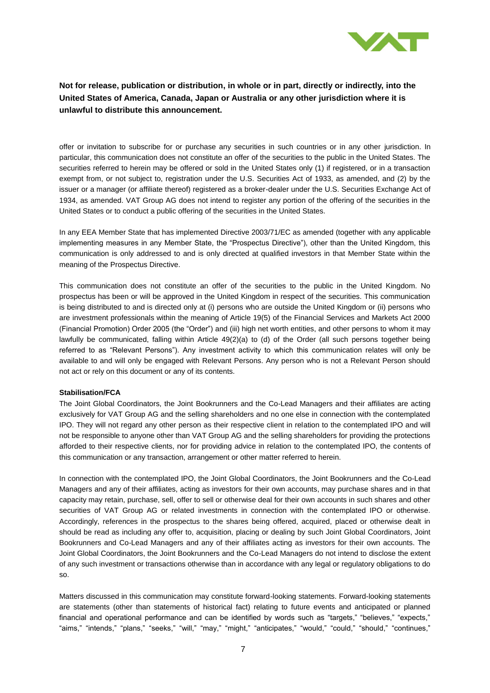

offer or invitation to subscribe for or purchase any securities in such countries or in any other jurisdiction. In particular, this communication does not constitute an offer of the securities to the public in the United States. The securities referred to herein may be offered or sold in the United States only (1) if registered, or in a transaction exempt from, or not subject to, registration under the U.S. Securities Act of 1933, as amended, and (2) by the issuer or a manager (or affiliate thereof) registered as a broker-dealer under the U.S. Securities Exchange Act of 1934, as amended. VAT Group AG does not intend to register any portion of the offering of the securities in the United States or to conduct a public offering of the securities in the United States.

In any EEA Member State that has implemented Directive 2003/71/EC as amended (together with any applicable implementing measures in any Member State, the "Prospectus Directive"), other than the United Kingdom, this communication is only addressed to and is only directed at qualified investors in that Member State within the meaning of the Prospectus Directive.

This communication does not constitute an offer of the securities to the public in the United Kingdom. No prospectus has been or will be approved in the United Kingdom in respect of the securities. This communication is being distributed to and is directed only at (i) persons who are outside the United Kingdom or (ii) persons who are investment professionals within the meaning of Article 19(5) of the Financial Services and Markets Act 2000 (Financial Promotion) Order 2005 (the "Order") and (iii) high net worth entities, and other persons to whom it may lawfully be communicated, falling within Article 49(2)(a) to (d) of the Order (all such persons together being referred to as "Relevant Persons"). Any investment activity to which this communication relates will only be available to and will only be engaged with Relevant Persons. Any person who is not a Relevant Person should not act or rely on this document or any of its contents.

#### **Stabilisation/FCA**

The Joint Global Coordinators, the Joint Bookrunners and the Co-Lead Managers and their affiliates are acting exclusively for VAT Group AG and the selling shareholders and no one else in connection with the contemplated IPO. They will not regard any other person as their respective client in relation to the contemplated IPO and will not be responsible to anyone other than VAT Group AG and the selling shareholders for providing the protections afforded to their respective clients, nor for providing advice in relation to the contemplated IPO, the contents of this communication or any transaction, arrangement or other matter referred to herein.

In connection with the contemplated IPO, the Joint Global Coordinators, the Joint Bookrunners and the Co-Lead Managers and any of their affiliates, acting as investors for their own accounts, may purchase shares and in that capacity may retain, purchase, sell, offer to sell or otherwise deal for their own accounts in such shares and other securities of VAT Group AG or related investments in connection with the contemplated IPO or otherwise. Accordingly, references in the prospectus to the shares being offered, acquired, placed or otherwise dealt in should be read as including any offer to, acquisition, placing or dealing by such Joint Global Coordinators, Joint Bookrunners and Co-Lead Managers and any of their affiliates acting as investors for their own accounts. The Joint Global Coordinators, the Joint Bookrunners and the Co-Lead Managers do not intend to disclose the extent of any such investment or transactions otherwise than in accordance with any legal or regulatory obligations to do so.

Matters discussed in this communication may constitute forward-looking statements. Forward-looking statements are statements (other than statements of historical fact) relating to future events and anticipated or planned financial and operational performance and can be identified by words such as "targets," "believes," "expects," "aims," "intends," "plans," "seeks," "will," "may," "might," "anticipates," "would," "could," "should," "continues,"